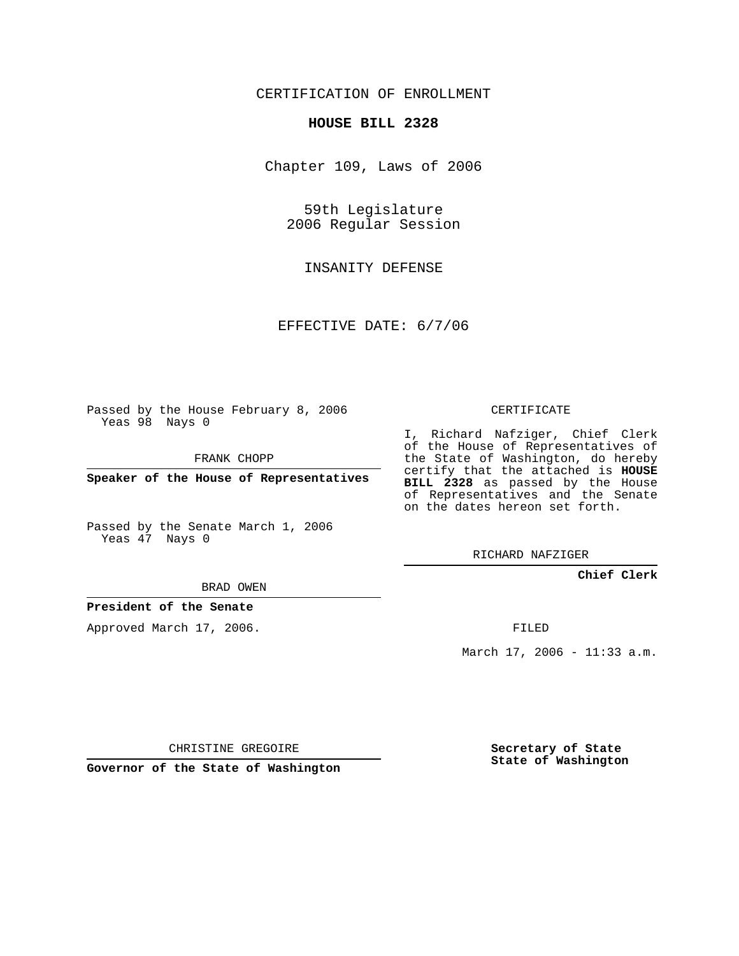## CERTIFICATION OF ENROLLMENT

#### **HOUSE BILL 2328**

Chapter 109, Laws of 2006

59th Legislature 2006 Regular Session

INSANITY DEFENSE

EFFECTIVE DATE: 6/7/06

Passed by the House February 8, 2006 Yeas 98 Nays 0

FRANK CHOPP

**Speaker of the House of Representatives**

Passed by the Senate March 1, 2006 Yeas 47 Nays 0

# CERTIFICATE

I, Richard Nafziger, Chief Clerk of the House of Representatives of the State of Washington, do hereby certify that the attached is **HOUSE BILL 2328** as passed by the House of Representatives and the Senate on the dates hereon set forth.

RICHARD NAFZIGER

### **Chief Clerk**

BRAD OWEN

### **President of the Senate**

Approved March 17, 2006.

FILED

March 17, 2006 - 11:33 a.m.

CHRISTINE GREGOIRE

**Governor of the State of Washington**

**Secretary of State State of Washington**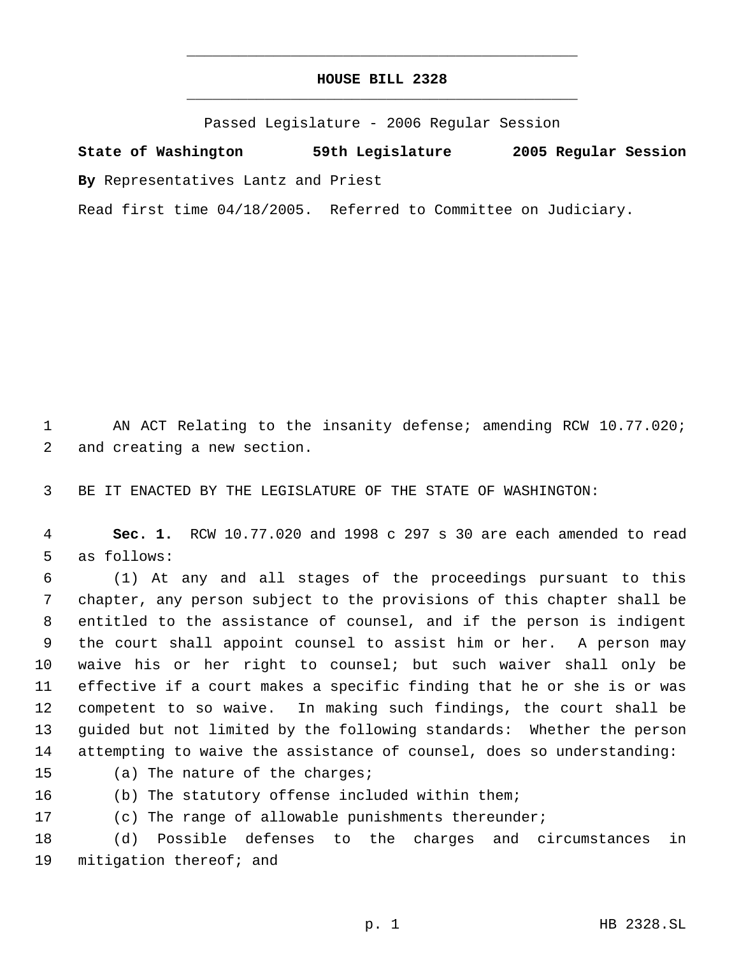## **HOUSE BILL 2328** \_\_\_\_\_\_\_\_\_\_\_\_\_\_\_\_\_\_\_\_\_\_\_\_\_\_\_\_\_\_\_\_\_\_\_\_\_\_\_\_\_\_\_\_\_

\_\_\_\_\_\_\_\_\_\_\_\_\_\_\_\_\_\_\_\_\_\_\_\_\_\_\_\_\_\_\_\_\_\_\_\_\_\_\_\_\_\_\_\_\_

Passed Legislature - 2006 Regular Session

**State of Washington 59th Legislature 2005 Regular Session By** Representatives Lantz and Priest

Read first time 04/18/2005. Referred to Committee on Judiciary.

 AN ACT Relating to the insanity defense; amending RCW 10.77.020; and creating a new section.

BE IT ENACTED BY THE LEGISLATURE OF THE STATE OF WASHINGTON:

 **Sec. 1.** RCW 10.77.020 and 1998 c 297 s 30 are each amended to read as follows:

 (1) At any and all stages of the proceedings pursuant to this chapter, any person subject to the provisions of this chapter shall be entitled to the assistance of counsel, and if the person is indigent the court shall appoint counsel to assist him or her. A person may waive his or her right to counsel; but such waiver shall only be effective if a court makes a specific finding that he or she is or was competent to so waive. In making such findings, the court shall be guided but not limited by the following standards: Whether the person attempting to waive the assistance of counsel, does so understanding:

(a) The nature of the charges;

(b) The statutory offense included within them;

(c) The range of allowable punishments thereunder;

 (d) Possible defenses to the charges and circumstances in mitigation thereof; and